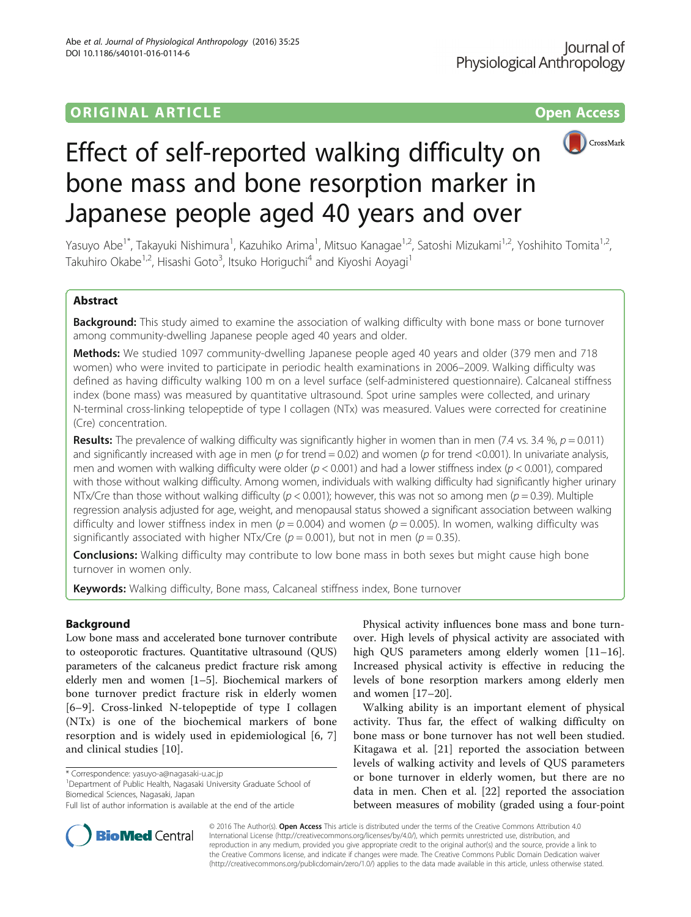# **ORIGINAL ARTICLE CONSERVANCE IN A LOCAL CONSERVANCE IN A LOCAL CONSERVANCE IN A LOCAL CONSERVANCE IN A LOCAL CONS**



# Effect of self-reported walking difficulty on bone mass and bone resorption marker in Japanese people aged 40 years and over

Yasuyo Abe<sup>1\*</sup>, Takayuki Nishimura<sup>1</sup>, Kazuhiko Arima<sup>1</sup>, Mitsuo Kanagae<sup>1,2</sup>, Satoshi Mizukami<sup>1,2</sup>, Yoshihito Tomita<sup>1,2</sup>, Takuhiro Okabe<sup>1,2</sup>, Hisashi Goto<sup>3</sup>, Itsuko Horiguchi<sup>4</sup> and Kiyoshi Aoyagi<sup>1</sup>

## Abstract

Background: This study aimed to examine the association of walking difficulty with bone mass or bone turnover among community-dwelling Japanese people aged 40 years and older.

Methods: We studied 1097 community-dwelling Japanese people aged 40 years and older (379 men and 718 women) who were invited to participate in periodic health examinations in 2006–2009. Walking difficulty was defined as having difficulty walking 100 m on a level surface (self-administered questionnaire). Calcaneal stiffness index (bone mass) was measured by quantitative ultrasound. Spot urine samples were collected, and urinary N-terminal cross-linking telopeptide of type I collagen (NTx) was measured. Values were corrected for creatinine (Cre) concentration.

**Results:** The prevalence of walking difficulty was significantly higher in women than in men (7.4 vs. 3.4 %,  $p = 0.011$ ) and significantly increased with age in men ( $p$  for trend = 0.02) and women ( $p$  for trend <0.001). In univariate analysis, men and women with walking difficulty were older ( $p < 0.001$ ) and had a lower stiffness index ( $p < 0.001$ ), compared with those without walking difficulty. Among women, individuals with walking difficulty had significantly higher urinary NTx/Cre than those without walking difficulty ( $p < 0.001$ ); however, this was not so among men ( $p = 0.39$ ). Multiple regression analysis adjusted for age, weight, and menopausal status showed a significant association between walking difficulty and lower stiffness index in men ( $p = 0.004$ ) and women ( $p = 0.005$ ). In women, walking difficulty was significantly associated with higher NTx/Cre ( $p = 0.001$ ), but not in men ( $p = 0.35$ ).

**Conclusions:** Walking difficulty may contribute to low bone mass in both sexes but might cause high bone turnover in women only.

**Keywords:** Walking difficulty, Bone mass, Calcaneal stiffness index, Bone turnover

### Background

Low bone mass and accelerated bone turnover contribute to osteoporotic fractures. Quantitative ultrasound (QUS) parameters of the calcaneus predict fracture risk among elderly men and women [\[1](#page-3-0)–[5](#page-3-0)]. Biochemical markers of bone turnover predict fracture risk in elderly women [[6](#page-3-0)–[9\]](#page-3-0). Cross-linked N-telopeptide of type I collagen (NTx) is one of the biochemical markers of bone resorption and is widely used in epidemiological [\[6](#page-3-0), [7](#page-3-0)] and clinical studies [\[10\]](#page-3-0).

<sup>1</sup>Department of Public Health, Nagasaki University Graduate School of Biomedical Sciences, Nagasaki, Japan

Physical activity influences bone mass and bone turnover. High levels of physical activity are associated with high QUS parameters among elderly women [[11](#page-3-0)-[16](#page-3-0)]. Increased physical activity is effective in reducing the levels of bone resorption markers among elderly men and women [[17](#page-3-0)–[20](#page-3-0)].

Walking ability is an important element of physical activity. Thus far, the effect of walking difficulty on bone mass or bone turnover has not well been studied. Kitagawa et al. [\[21](#page-3-0)] reported the association between levels of walking activity and levels of QUS parameters or bone turnover in elderly women, but there are no data in men. Chen et al. [\[22](#page-3-0)] reported the association between measures of mobility (graded using a four-point



© 2016 The Author(s). Open Access This article is distributed under the terms of the Creative Commons Attribution 4.0 International License [\(http://creativecommons.org/licenses/by/4.0/](http://creativecommons.org/licenses/by/4.0/)), which permits unrestricted use, distribution, and reproduction in any medium, provided you give appropriate credit to the original author(s) and the source, provide a link to the Creative Commons license, and indicate if changes were made. The Creative Commons Public Domain Dedication waiver [\(http://creativecommons.org/publicdomain/zero/1.0/](http://creativecommons.org/publicdomain/zero/1.0/)) applies to the data made available in this article, unless otherwise stated.

<sup>\*</sup> Correspondence: [yasuyo-a@nagasaki-u.ac.jp](mailto:yasuyo-a@nagasaki-u.ac.jp) <sup>1</sup>

Full list of author information is available at the end of the article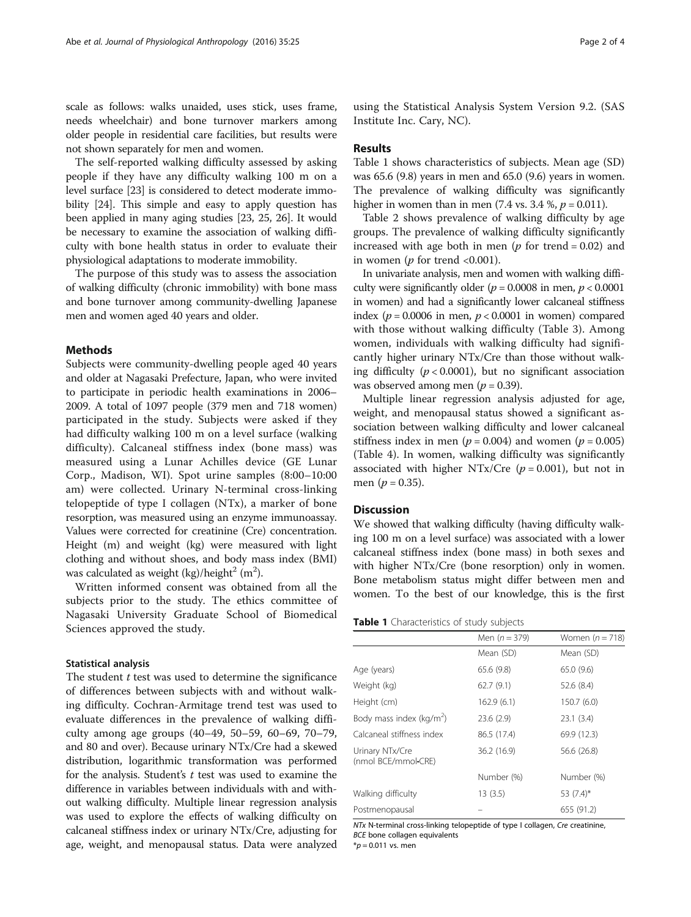scale as follows: walks unaided, uses stick, uses frame, needs wheelchair) and bone turnover markers among older people in residential care facilities, but results were not shown separately for men and women.

The self-reported walking difficulty assessed by asking people if they have any difficulty walking 100 m on a level surface [\[23\]](#page-3-0) is considered to detect moderate immobility [\[24](#page-3-0)]. This simple and easy to apply question has been applied in many aging studies [\[23](#page-3-0), [25](#page-3-0), [26](#page-3-0)]. It would be necessary to examine the association of walking difficulty with bone health status in order to evaluate their physiological adaptations to moderate immobility.

The purpose of this study was to assess the association of walking difficulty (chronic immobility) with bone mass and bone turnover among community-dwelling Japanese men and women aged 40 years and older.

#### Methods

Subjects were community-dwelling people aged 40 years and older at Nagasaki Prefecture, Japan, who were invited to participate in periodic health examinations in 2006– 2009. A total of 1097 people (379 men and 718 women) participated in the study. Subjects were asked if they had difficulty walking 100 m on a level surface (walking difficulty). Calcaneal stiffness index (bone mass) was measured using a Lunar Achilles device (GE Lunar Corp., Madison, WI). Spot urine samples (8:00–10:00 am) were collected. Urinary N-terminal cross-linking telopeptide of type I collagen (NTx), a marker of bone resorption, was measured using an enzyme immunoassay. Values were corrected for creatinine (Cre) concentration. Height (m) and weight (kg) were measured with light clothing and without shoes, and body mass index (BMI) was calculated as weight (kg)/height $^2$  (m<sup>2</sup>).

Written informed consent was obtained from all the subjects prior to the study. The ethics committee of Nagasaki University Graduate School of Biomedical Sciences approved the study.

#### Statistical analysis

The student  $t$  test was used to determine the significance of differences between subjects with and without walking difficulty. Cochran-Armitage trend test was used to evaluate differences in the prevalence of walking difficulty among age groups (40–49, 50–59, 60–69, 70–79, and 80 and over). Because urinary NTx/Cre had a skewed distribution, logarithmic transformation was performed for the analysis. Student's  $t$  test was used to examine the difference in variables between individuals with and without walking difficulty. Multiple linear regression analysis was used to explore the effects of walking difficulty on calcaneal stiffness index or urinary NTx/Cre, adjusting for age, weight, and menopausal status. Data were analyzed

using the Statistical Analysis System Version 9.2. (SAS Institute Inc. Cary, NC).

#### Results

Table 1 shows characteristics of subjects. Mean age (SD) was 65.6 (9.8) years in men and 65.0 (9.6) years in women. The prevalence of walking difficulty was significantly higher in women than in men  $(7.4 \text{ vs. } 3.4 \text{ %}, p = 0.011)$ .

Table [2](#page-2-0) shows prevalence of walking difficulty by age groups. The prevalence of walking difficulty significantly increased with age both in men ( $p$  for trend = 0.02) and in women ( $p$  for trend <0.001).

In univariate analysis, men and women with walking difficulty were significantly older ( $p = 0.0008$  in men,  $p < 0.0001$ in women) and had a significantly lower calcaneal stiffness index ( $p = 0.0006$  in men,  $p < 0.0001$  in women) compared with those without walking difficulty (Table [3\)](#page-2-0). Among women, individuals with walking difficulty had significantly higher urinary NTx/Cre than those without walking difficulty ( $p < 0.0001$ ), but no significant association was observed among men ( $p = 0.39$ ).

Multiple linear regression analysis adjusted for age, weight, and menopausal status showed a significant association between walking difficulty and lower calcaneal stiffness index in men ( $p = 0.004$ ) and women ( $p = 0.005$ ) (Table [4\)](#page-2-0). In women, walking difficulty was significantly associated with higher NTx/Cre  $(p = 0.001)$ , but not in men ( $p = 0.35$ ).

#### **Discussion**

We showed that walking difficulty (having difficulty walking 100 m on a level surface) was associated with a lower calcaneal stiffness index (bone mass) in both sexes and with higher NTx/Cre (bone resorption) only in women. Bone metabolism status might differ between men and women. To the best of our knowledge, this is the first

| Table 1 Characteristics of study subjects |
|-------------------------------------------|
|-------------------------------------------|

|                                        | Men $(n = 379)$ | Women $(n = 718)$ |
|----------------------------------------|-----------------|-------------------|
|                                        | Mean (SD)       | Mean (SD)         |
| Age (years)                            | 65.6(9.8)       | 65.0 (9.6)        |
| Weight (kg)                            | 62.7(9.1)       | 52.6(8.4)         |
| Height (cm)                            | 162.9(6.1)      | 150.7 (6.0)       |
| Body mass index ( $\text{kg/m}^2$ )    | 23.6(2.9)       | 23.1(3.4)         |
| Calcaneal stiffness index              | 86.5 (17.4)     | 69.9 (12.3)       |
| Urinary NTx/Cre<br>(nmol BCE/mmol-CRE) | 36.2 (16.9)     | 56.6 (26.8)       |
|                                        | Number (%)      | Number (%)        |
| Walking difficulty                     | 13(3.5)         | 53 $(7.4)$ *      |
| Postmenopausal                         |                 | 655 (91.2)        |

NTx N-terminal cross-linking telopeptide of type I collagen, Cre creatinine, BCE bone collagen equivalents

 $*p = 0.011$  vs. men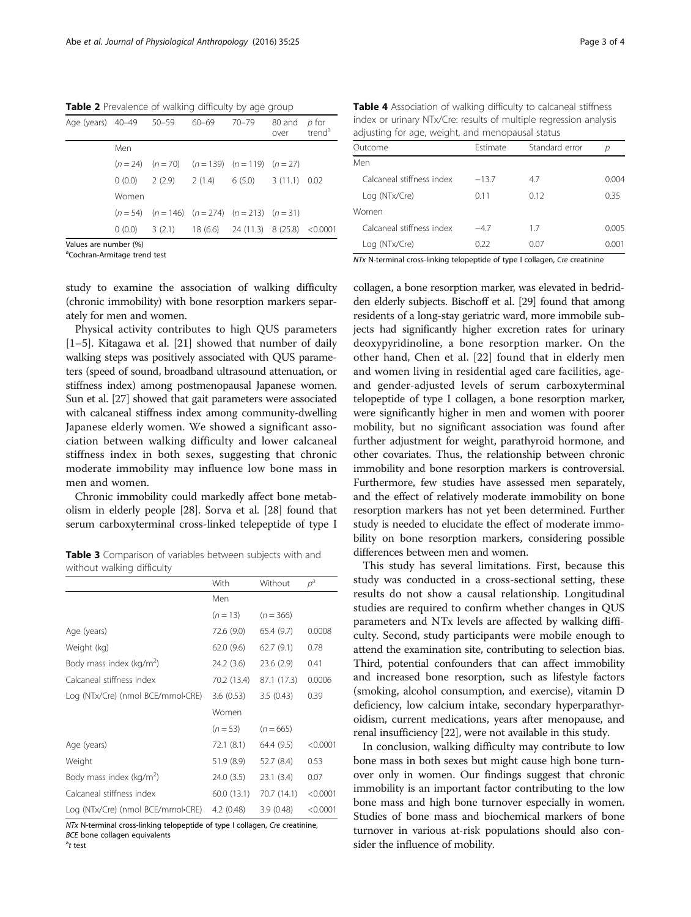<span id="page-2-0"></span>Table 2 Prevalence of walking difficulty by age group

| Age (years) 40-49 50-59 60-69 70-79 |       |                                                           | 80 and<br>over | p for<br>trend <sup>ª</sup> |
|-------------------------------------|-------|-----------------------------------------------------------|----------------|-----------------------------|
|                                     | Men   |                                                           |                |                             |
|                                     |       | $(n = 24)$ $(n = 70)$ $(n = 139)$ $(n = 119)$ $(n = 27)$  |                |                             |
|                                     |       | $0(0.0)$ $2(2.9)$ $2(1.4)$ $6(5.0)$ $3(11.1)$ 0.02        |                |                             |
|                                     | Women |                                                           |                |                             |
|                                     |       | $(n = 54)$ $(n = 146)$ $(n = 274)$ $(n = 213)$ $(n = 31)$ |                |                             |
|                                     |       | $0(0.0)$ 3 (2.1) 18 (6.6) 24 (11.3) 8 (25.8) < 0.0001     |                |                             |
| Values are number (%)               |       |                                                           |                |                             |

<sup>a</sup>Cochran-Armitage trend test

study to examine the association of walking difficulty (chronic immobility) with bone resorption markers separately for men and women.

Physical activity contributes to high QUS parameters [[1](#page-3-0)–[5\]](#page-3-0). Kitagawa et al. [[21\]](#page-3-0) showed that number of daily walking steps was positively associated with QUS parameters (speed of sound, broadband ultrasound attenuation, or stiffness index) among postmenopausal Japanese women. Sun et al. [\[27\]](#page-3-0) showed that gait parameters were associated with calcaneal stiffness index among community-dwelling Japanese elderly women. We showed a significant association between walking difficulty and lower calcaneal stiffness index in both sexes, suggesting that chronic moderate immobility may influence low bone mass in men and women.

Chronic immobility could markedly affect bone metabolism in elderly people [\[28\]](#page-3-0). Sorva et al. [[28](#page-3-0)] found that serum carboxyterminal cross-linked telepeptide of type I

Table 3 Comparison of variables between subjects with and without walking difficulty

|                                   | With        | Without     | $p^{\rm a}$ |
|-----------------------------------|-------------|-------------|-------------|
|                                   | Men         |             |             |
|                                   | $(n = 13)$  | $(n = 366)$ |             |
| Age (years)                       | 72.6 (9.0)  | 65.4 (9.7)  | 0.0008      |
| Weight (kg)                       | 62.0 (9.6)  | 62.7(9.1)   | 0.78        |
| Body mass index ( $kg/m2$ )       | 24.2 (3.6)  | 23.6(2.9)   | 0.41        |
| Calcaneal stiffness index         | 70.2 (13.4) | 87.1 (17.3) | 0.0006      |
| Log (NTx/Cre) (nmol BCE/mmol•CRE) | 3.6(0.53)   | 3.5(0.43)   | 0.39        |
|                                   | Women       |             |             |
|                                   | $(n=53)$    | $(n = 665)$ |             |
| Age (years)                       | 72.1 (8.1)  | 64.4 (9.5)  | < 0.0001    |
| Weight                            | 51.9 (8.9)  | 52.7 (8.4)  | 0.53        |
| Body mass index ( $kg/m2$ )       | 24.0 (3.5)  | 23.1(3.4)   | 0.07        |
| Calcaneal stiffness index         | 60.0 (13.1) | 70.7 (14.1) | < 0.0001    |
| Log (NTx/Cre) (nmol BCE/mmol•CRE) | 4.2(0.48)   | 3.9(0.48)   | < 0.0001    |

NTx N-terminal cross-linking telopeptide of type I collagen, Cre creatinine, BCE bone collagen equivalents

 $a_t$  test

Table 4 Association of walking difficulty to calcaneal stiffness index or urinary NTx/Cre: results of multiple regression analysis adjusting for age, weight, and menopausal status

| Outcome                   | Estimate | Standard error | р     |
|---------------------------|----------|----------------|-------|
| Men                       |          |                |       |
| Calcaneal stiffness index | $-13.7$  | 4.7            | 0.004 |
| Log (NTx/Cre)             | 0.11     | 0.12           | 0.35  |
| Women                     |          |                |       |
| Calcaneal stiffness index | $-4.7$   | 17             | 0.005 |
| Log (NTx/Cre)             | 0.22     | 0.07           | 0.001 |

NTx N-terminal cross-linking telopeptide of type I collagen, Cre creatinine

collagen, a bone resorption marker, was elevated in bedridden elderly subjects. Bischoff et al. [\[29](#page-3-0)] found that among residents of a long-stay geriatric ward, more immobile subjects had significantly higher excretion rates for urinary deoxypyridinoline, a bone resorption marker. On the other hand, Chen et al. [\[22](#page-3-0)] found that in elderly men and women living in residential aged care facilities, ageand gender-adjusted levels of serum carboxyterminal telopeptide of type I collagen, a bone resorption marker, were significantly higher in men and women with poorer mobility, but no significant association was found after further adjustment for weight, parathyroid hormone, and other covariates. Thus, the relationship between chronic immobility and bone resorption markers is controversial. Furthermore, few studies have assessed men separately, and the effect of relatively moderate immobility on bone resorption markers has not yet been determined. Further study is needed to elucidate the effect of moderate immobility on bone resorption markers, considering possible differences between men and women.

This study has several limitations. First, because this study was conducted in a cross-sectional setting, these results do not show a causal relationship. Longitudinal studies are required to confirm whether changes in QUS parameters and NTx levels are affected by walking difficulty. Second, study participants were mobile enough to attend the examination site, contributing to selection bias. Third, potential confounders that can affect immobility and increased bone resorption, such as lifestyle factors (smoking, alcohol consumption, and exercise), vitamin D deficiency, low calcium intake, secondary hyperparathyroidism, current medications, years after menopause, and renal insufficiency [[22](#page-3-0)], were not available in this study.

In conclusion, walking difficulty may contribute to low bone mass in both sexes but might cause high bone turnover only in women. Our findings suggest that chronic immobility is an important factor contributing to the low bone mass and high bone turnover especially in women. Studies of bone mass and biochemical markers of bone turnover in various at-risk populations should also consider the influence of mobility.